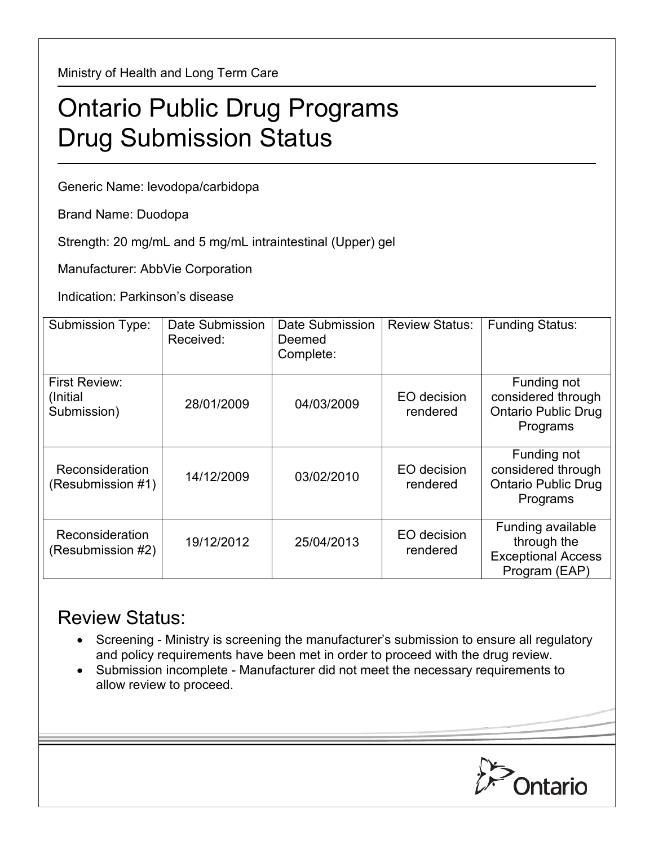Ministry of Health and Long Term Care

## Ontario Public Drug Programs Drug Submission Status

Generic Name: levodopa/carbidopa

Brand Name: Duodopa

Strength: 20 mg/mL and 5 mg/mL intraintestinal (Upper) gel

Manufacturer: AbbVie Corporation

Indication: Parkinson's disease

| <b>Submission Type:</b>                   | Date Submission<br>Received: | Date Submission<br>Deemed<br>Complete: | <b>Review Status:</b>   | <b>Funding Status:</b>                                                         |
|-------------------------------------------|------------------------------|----------------------------------------|-------------------------|--------------------------------------------------------------------------------|
| First Review:<br>(Initial)<br>Submission) | 28/01/2009                   | 04/03/2009                             | EO decision<br>rendered | Funding not<br>considered through<br><b>Ontario Public Drug</b><br>Programs    |
| Reconsideration<br>(Resubmission #1)      | 14/12/2009                   | 03/02/2010                             | EO decision<br>rendered | Funding not<br>considered through<br><b>Ontario Public Drug</b><br>Programs    |
| Reconsideration<br>(Resubmission #2)      | 19/12/2012                   | 25/04/2013                             | EO decision<br>rendered | Funding available<br>through the<br><b>Exceptional Access</b><br>Program (EAP) |

## Review Status:

- Screening Ministry is screening the manufacturer's submission to ensure all regulatory and policy requirements have been met in order to proceed with the drug review.
- Submission incomplete Manufacturer did not meet the necessary requirements to allow review to proceed.